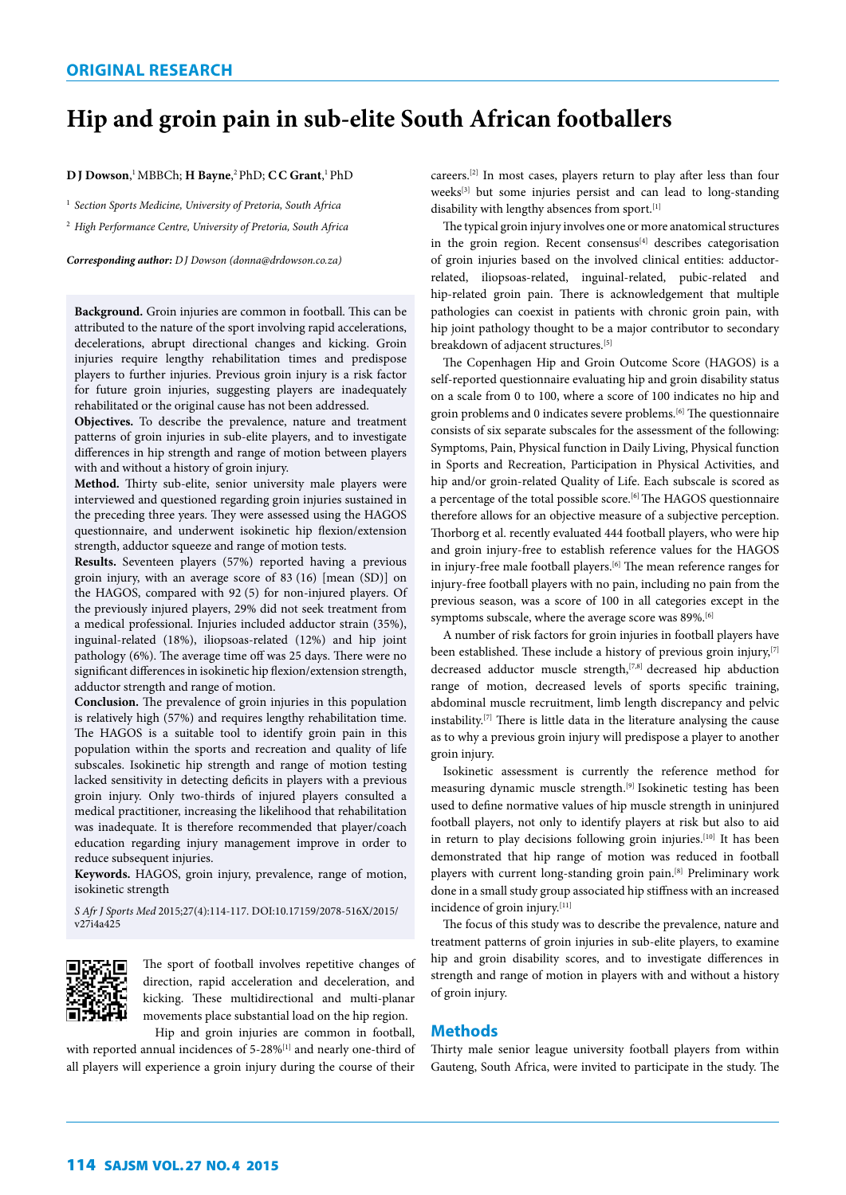# **Hip and groin pain in sub-elite South African footballers**

**DJ Dowson**, 1 MBBCh; **H Bayne**, 2 PhD; **CC Grant**, 1 PhD

<sup>1</sup> *Section Sports Medicine, University of Pretoria, South Africa*

<sup>2</sup> *High Performance Centre, University of Pretoria, South Africa*

*Corresponding author: DJ Dowson [\(donna@drdowson.co.za\)](mailto:donna@drdowson.co.za)*

**Background.** Groin injuries are common in football. This can be attributed to the nature of the sport involving rapid accelerations, decelerations, abrupt directional changes and kicking. Groin injuries require lengthy rehabilitation times and predispose players to further injuries. Previous groin injury is a risk factor for future groin injuries, suggesting players are inadequately rehabilitated or the original cause has not been addressed.

**Objectives.** To describe the prevalence, nature and treatment patterns of groin injuries in sub-elite players, and to investigate differences in hip strength and range of motion between players with and without a history of groin injury.

**Method.** Thirty sub-elite, senior university male players were interviewed and questioned regarding groin injuries sustained in the preceding three years. They were assessed using the HAGOS questionnaire, and underwent isokinetic hip flexion/extension strength, adductor squeeze and range of motion tests.

**Results.** Seventeen players (57%) reported having a previous groin injury, with an average score of 83 (16) [mean (SD)] on the HAGOS, compared with 92 (5) for non-injured players. Of the previously injured players, 29% did not seek treatment from a medical professional. Injuries included adductor strain (35%), inguinal-related (18%), iliopsoas-related (12%) and hip joint pathology (6%). The average time off was 25 days. There were no significant differences in isokinetic hip flexion/extension strength, adductor strength and range of motion.

**Conclusion.** The prevalence of groin injuries in this population is relatively high (57%) and requires lengthy rehabilitation time. The HAGOS is a suitable tool to identify groin pain in this population within the sports and recreation and quality of life subscales. Isokinetic hip strength and range of motion testing lacked sensitivity in detecting deficits in players with a previous groin injury. Only two-thirds of injured players consulted a medical practitioner, increasing the likelihood that rehabilitation was inadequate. It is therefore recommended that player/coach education regarding injury management improve in order to reduce subsequent injuries.

**Keywords.** HAGOS, groin injury, prevalence, range of motion, isokinetic strength

*S Afr J Sports Med* 2015;27(4):114-117. DOI:[10.17159/2078-516X/2015/](http://dx.doi.org/10.17159/2078-516X/2015/v27i4a425) [v27i4a425](http://dx.doi.org/10.17159/2078-516X/2015/v27i4a425)



The sport of football involves repetitive changes of direction, rapid acceleration and deceleration, and kicking. These multidirectional and multi-planar movements place substantial load on the hip region.

Hip and groin injuries are common in football, with reported annual incidences of 5-28%<sup>[1]</sup> and nearly one-third of all players will experience a groin injury during the course of their

careers.[2] In most cases, players return to play after less than four weeks<sup>[3]</sup> but some injuries persist and can lead to long-standing disability with lengthy absences from sport.<sup>[1]</sup>

The typical groin injury involves one or more anatomical structures in the groin region. Recent consensus $[4]$  describes categorisation of groin injuries based on the involved clinical entities: adductorrelated, iliopsoas-related, inguinal-related, pubic-related and hip-related groin pain. There is acknowledgement that multiple pathologies can coexist in patients with chronic groin pain, with hip joint pathology thought to be a major contributor to secondary breakdown of adjacent structures.<sup>[5]</sup>

The Copenhagen Hip and Groin Outcome Score (HAGOS) is a self-reported questionnaire evaluating hip and groin disability status on a scale from 0 to 100, where a score of 100 indicates no hip and groin problems and 0 indicates severe problems.<sup>[6]</sup> The questionnaire consists of six separate subscales for the assessment of the following: Symptoms, Pain, Physical function in Daily Living, Physical function in Sports and Recreation, Participation in Physical Activities, and hip and/or groin-related Quality of Life. Each subscale is scored as a percentage of the total possible score.<sup>[6]</sup> The HAGOS questionnaire therefore allows for an objective measure of a subjective perception. Thorborg et al. recently evaluated 444 football players, who were hip and groin injury-free to establish reference values for the HAGOS in injury-free male football players.<sup>[6]</sup> The mean reference ranges for injury-free football players with no pain, including no pain from the previous season, was a score of 100 in all categories except in the symptoms subscale, where the average score was 89%.<sup>[6]</sup>

A number of risk factors for groin injuries in football players have been established. These include a history of previous groin injury,<sup>[7]</sup> decreased adductor muscle strength,<sup>[7,8]</sup> decreased hip abduction range of motion, decreased levels of sports specific training, abdominal muscle recruitment, limb length discrepancy and pelvic instability.[7] There is little data in the literature analysing the cause as to why a previous groin injury will predispose a player to another groin injury.

Isokinetic assessment is currently the reference method for measuring dynamic muscle strength.[9] Isokinetic testing has been used to define normative values of hip muscle strength in uninjured football players, not only to identify players at risk but also to aid in return to play decisions following groin injuries.<sup>[10]</sup> It has been demonstrated that hip range of motion was reduced in football players with current long-standing groin pain.<sup>[8]</sup> Preliminary work done in a small study group associated hip stiffness with an increased incidence of groin injury.[11]

The focus of this study was to describe the prevalence, nature and treatment patterns of groin injuries in sub-elite players, to examine hip and groin disability scores, and to investigate differences in strength and range of motion in players with and without a history of groin injury.

#### **Methods**

Thirty male senior league university football players from within Gauteng, South Africa, were invited to participate in the study. The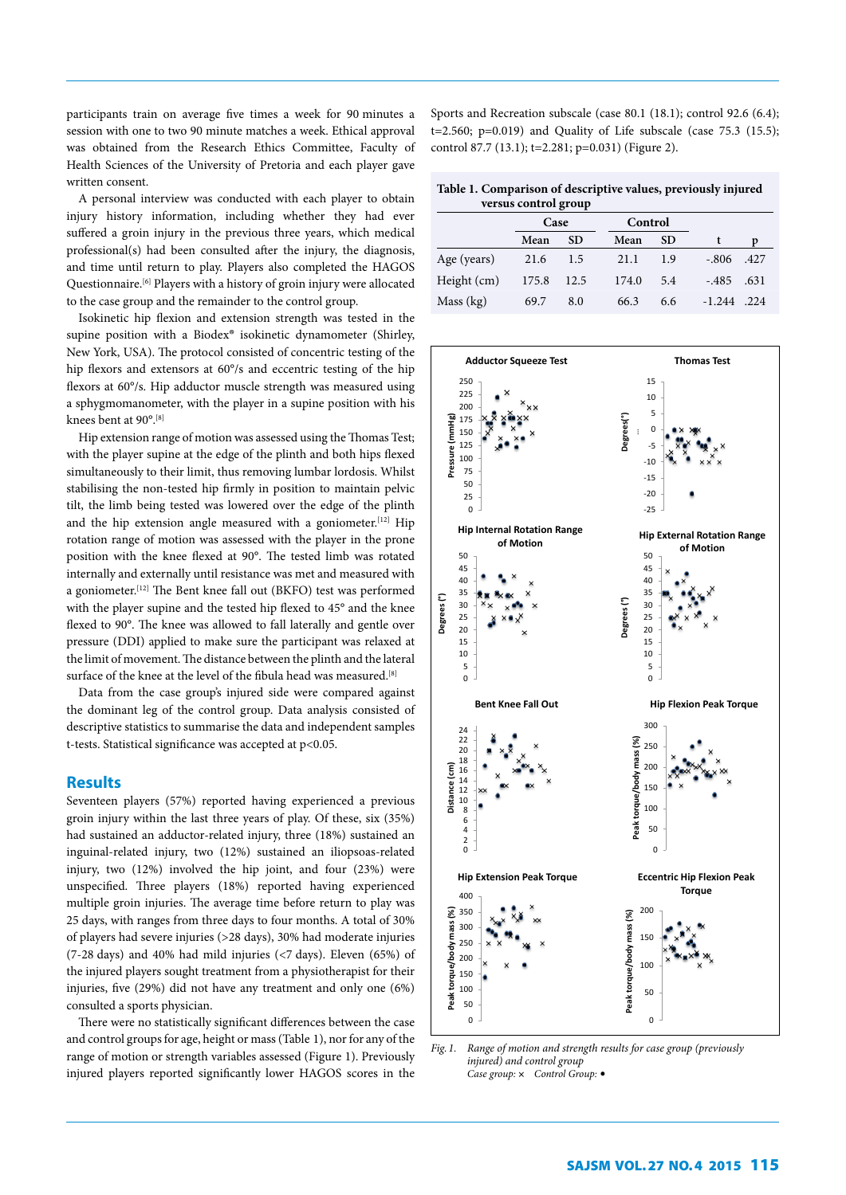participants train on average five times a week for 90 minutes a session with one to two 90 minute matches a week. Ethical approval was obtained from the Research Ethics Committee, Faculty of Health Sciences of the University of Pretoria and each player gave written consent.

A personal interview was conducted with each player to obtain injury history information, including whether they had ever suffered a groin injury in the previous three years, which medical professional(s) had been consulted after the injury, the diagnosis, and time until return to play. Players also completed the HAGOS Questionnaire.<sup>[6]</sup> Players with a history of groin injury were allocated to the case group and the remainder to the control group.

Isokinetic hip flexion and extension strength was tested in the supine position with a Biodex® isokinetic dynamometer (Shirley, New York, USA). The protocol consisted of concentric testing of the hip flexors and extensors at 60°/s and eccentric testing of the hip flexors at 60°/s. Hip adductor muscle strength was measured using a sphygmomanometer, with the player in a supine position with his knees bent at 90°.[8]

Hip extension range of motion was assessed using the Thomas Test; with the player supine at the edge of the plinth and both hips flexed simultaneously to their limit, thus removing lumbar lordosis. Whilst stabilising the non-tested hip firmly in position to maintain pelvic tilt, the limb being tested was lowered over the edge of the plinth and the hip extension angle measured with a goniometer.<sup>[12]</sup> Hip rotation range of motion was assessed with the player in the prone position with the knee flexed at 90°. The tested limb was rotated internally and externally until resistance was met and measured with a goniometer.[12] The Bent knee fall out (BKFO) test was performed with the player supine and the tested hip flexed to 45° and the knee flexed to 90°. The knee was allowed to fall laterally and gentle over pressure (DDI) applied to make sure the participant was relaxed at the limit of movement. The distance between the plinth and the lateral surface of the knee at the level of the fibula head was measured.<sup>[8]</sup>

Data from the case group's injured side were compared against the dominant leg of the control group. Data analysis consisted of descriptive statistics to summarise the data and independent samples t-tests. Statistical significance was accepted at p<0.05.

## **Results**

Seventeen players (57%) reported having experienced a previous groin injury within the last three years of play. Of these, six (35%) had sustained an adductor-related injury, three (18%) sustained an inguinal-related injury, two (12%) sustained an iliopsoas-related injury, two (12%) involved the hip joint, and four (23%) were unspecified. Three players (18%) reported having experienced multiple groin injuries. The average time before return to play was 25 days, with ranges from three days to four months. A total of 30% of players had severe injuries (>28 days), 30% had moderate injuries (7-28 days) and 40% had mild injuries (<7 days). Eleven (65%) of the injured players sought treatment from a physiotherapist for their injuries, five (29%) did not have any treatment and only one (6%) consulted a sports physician.

There were no statistically significant differences between the case and control groups for age, height or mass (Table 1), nor for any of the range of motion or strength variables assessed (Figure 1). Previously injured players reported significantly lower HAGOS scores in the Sports and Recreation subscale (case 80.1 (18.1); control 92.6 (6.4); t=2.560; p=0.019) and Quality of Life subscale (case 75.3 (15.5); control 87.7 (13.1); t=2.281; p=0.031) (Figure 2).

**Table 1. Comparison of descriptive values, previously injured versus control group** 

|             | Case  |           | Control |           |                  |
|-------------|-------|-----------|---------|-----------|------------------|
|             | Mean  | <b>SD</b> | Mean    | <b>SD</b> | p                |
| Age (years) | 21.6  | 1.5       | 21.1    | 1.9       | $-.806$<br>.427  |
| Height (cm) | 175.8 | 12.5      | 174.0   | 5.4       | -.485<br>.631    |
| Mass (kg)   | 69.7  | 8.0       | 66.3    | 6.6       | $-1.244$<br>.224 |



*Fig. 1. Range of motion and strength results for case group (previously injured) and control group Case group:* **×** *Control Group: •*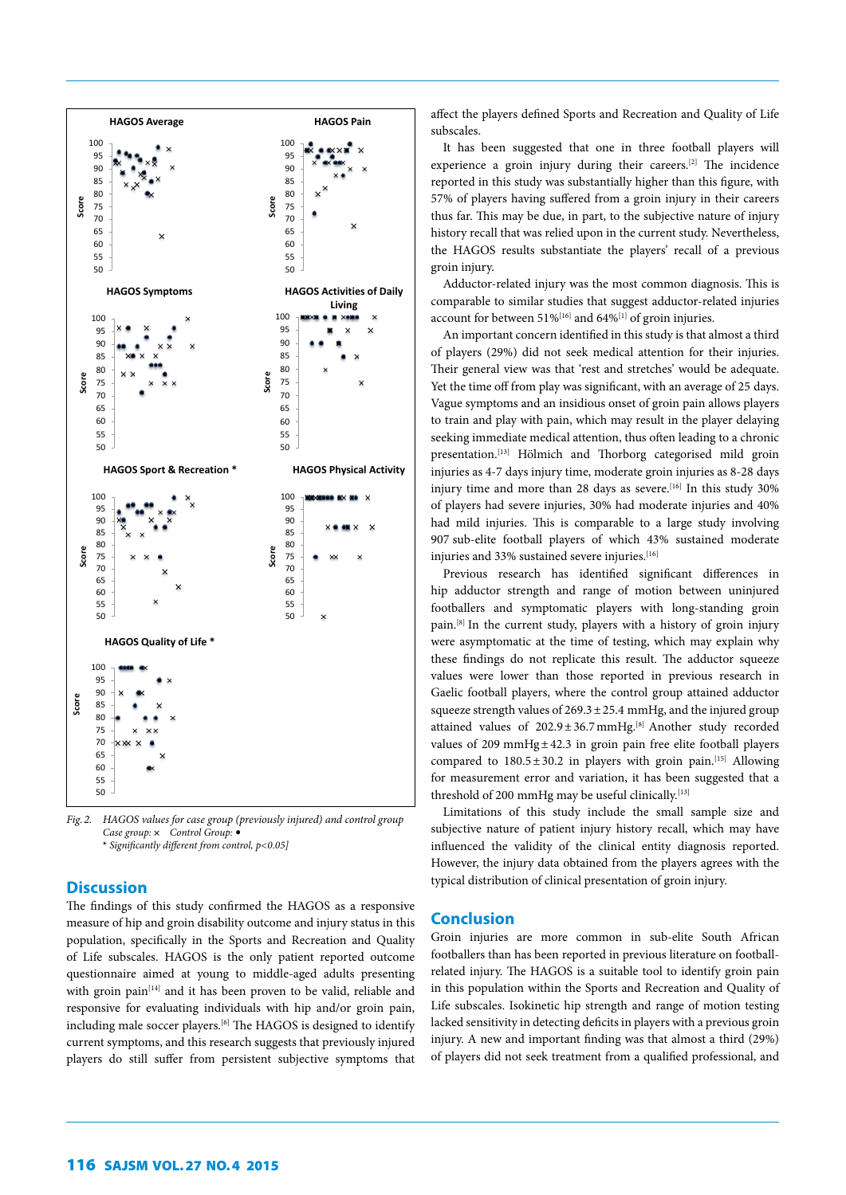

*Fig. 2. HAGOS values for case group (previously injured) and control group Case group:* **<sup>×</sup>** *Control Group: •* **\*** *Significantly different from control, p<0.05]*

### **Discussion**

The findings of this study confirmed the HAGOS as a responsive measure of hip and groin disability outcome and injury status in this population, specifically in the Sports and Recreation and Quality of Life subscales. HAGOS is the only patient reported outcome questionnaire aimed at young to middle-aged adults presenting with groin pain<sup>[14]</sup> and it has been proven to be valid, reliable and responsive for evaluating individuals with hip and/or groin pain, including male soccer players.<sup>[6]</sup> The HAGOS is designed to identify current symptoms, and this research suggests that previously injured players do still suffer from persistent subjective symptoms that

affect the players defined Sports and Recreation and Quality of Life subscales.

It has been suggested that one in three football players will experience a groin injury during their careers.<sup>[2]</sup> The incidence reported in this study was substantially higher than this figure, with 57% of players having suffered from a groin injury in their careers thus far. This may be due, in part, to the subjective nature of injury history recall that was relied upon in the current study. Nevertheless, the HAGOS results substantiate the players' recall of a previous groin injury.

Adductor-related injury was the most common diagnosis. This is comparable to similar studies that suggest adductor-related injuries account for between  $51\%$ <sup>[16]</sup> and  $64\%$ <sup>[1]</sup> of groin injuries.

An important concern identified in this study is that almost a third of players (29%) did not seek medical attention for their injuries. Their general view was that 'rest and stretches' would be adequate. Yet the time off from play was significant, with an average of 25 days. Vague symptoms and an insidious onset of groin pain allows players to train and play with pain, which may result in the player delaying seeking immediate medical attention, thus often leading to a chronic presentation.[13] Hölmich and Thorborg categorised mild groin injuries as 4-7 days injury time, moderate groin injuries as 8-28 days injury time and more than 28 days as severe.<sup>[16]</sup> In this study 30% of players had severe injuries, 30% had moderate injuries and 40% had mild injuries. This is comparable to a large study involving 907 sub-elite football players of which 43% sustained moderate injuries and 33% sustained severe injuries.<sup>[16]</sup>

Previous research has identified significant differences in hip adductor strength and range of motion between uninjured footballers and symptomatic players with long-standing groin pain.[8] In the current study, players with a history of groin injury were asymptomatic at the time of testing, which may explain why these findings do not replicate this result. The adductor squeeze values were lower than those reported in previous research in Gaelic football players, where the control group attained adductor squeeze strength values of  $269.3 \pm 25.4$  mmHg, and the injured group attained values of  $202.9 \pm 36.7$  mmHg.<sup>[8]</sup> Another study recorded values of 209 mmHg±42.3 in groin pain free elite football players compared to  $180.5 \pm 30.2$  in players with groin pain.<sup>[15]</sup> Allowing for measurement error and variation, it has been suggested that a threshold of 200 mmHg may be useful clinically.<sup>[13]</sup>

Limitations of this study include the small sample size and subjective nature of patient injury history recall, which may have influenced the validity of the clinical entity diagnosis reported. However, the injury data obtained from the players agrees with the typical distribution of clinical presentation of groin injury.

### **Conclusion**

Groin injuries are more common in sub-elite South African footballers than has been reported in previous literature on footballrelated injury. The HAGOS is a suitable tool to identify groin pain in this population within the Sports and Recreation and Quality of Life subscales. Isokinetic hip strength and range of motion testing lacked sensitivity in detecting deficits in players with a previous groin injury. A new and important finding was that almost a third (29%) of players did not seek treatment from a qualified professional, and